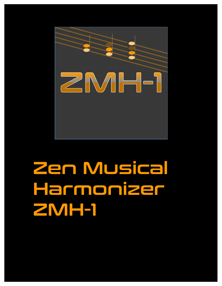

# Zen Musical Harmonizer ZMH-1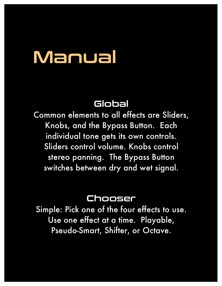# Manual

# Global

Common elements to all effects are Sliders, Knobs, and the Bypass Button. Each individual tone gets its own controls. Sliders control volume. Knobs control stereo panning. The Bypass Button switches between dry and wet signal.

### Chooser

Simple: Pick one of the four effects to use. Use one effect at a time. Playable, Pseudo-Smart, Shifter, or Octave.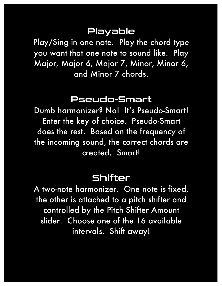# Playable

Play/Sing in one note. Play the chord type you want that one note to sound like. Play Major, Major 6, Major 7, Minor, Minor 6, and Minor 7 chords.

#### Pseudo-Smart

Dumb harmonizer? No! It's Pseudo-Smart! Enter the key of choice. Pseudo-Smart does the rest. Based on the frequency of the incoming sound, the correct chords are created. Smart!

#### Shifter

A two-note harmonizer. One note is fixed, the other is attached to a pitch shifter and controlled by the Pitch Shifter Amount slider. Choose one of the 16 available intervals. Shift away!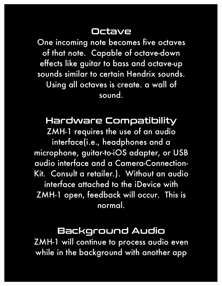# Octave

One incoming note becomes five octaves of that note. Capable of octave-down effects like guitar to bass and octave-up sounds similar to certain Hendrix sounds. Using all octaves is create. a wall of sound.

# Hardware Compatibility

ZMH-1 requires the use of an audio interface(i.e., headphones and a microphone, guitar-to-iOS adapter, or USB audio interface and a Camera-Connection-Kit. Consult a retailer.). Without an audio interface attached to the iDevice with ZMH-1 open, feedback will occur. This is normal.

### Background Audio

ZMH-1 will continue to process audio even while in the background with another app